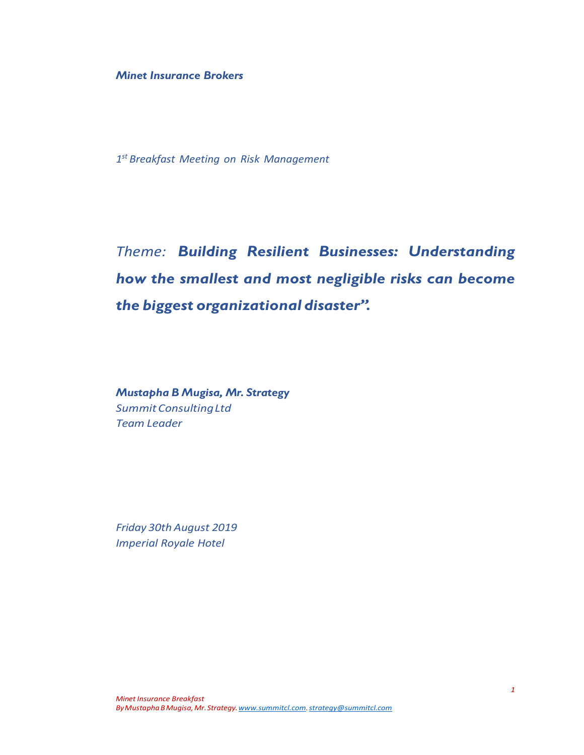*Minet Insurance Brokers*

*1 st Breakfast Meeting on Risk Management*

*Theme: Building Resilient Businesses: Understanding how the smallest and most negligible risks can become the biggest organizational disaster".*

*Mustapha B Mugisa, Mr. Strategy SummitConsultingLtd Team Leader*

*Friday 30th August 2019 Imperial Royale Hotel*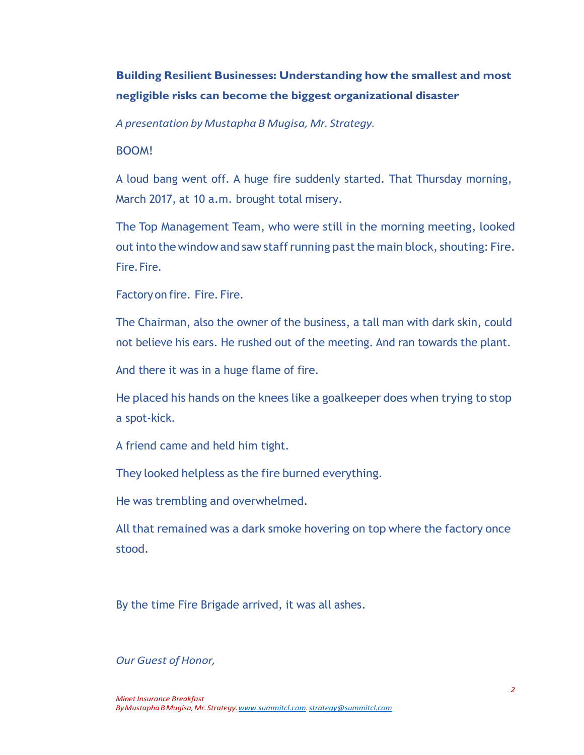# **Building Resilient Businesses: Understanding how the smallest and most negligible risks can become the biggest organizational disaster**

*A presentation by Mustapha B Mugisa, Mr. Strategy.*

### BOOM!

A loud bang went off. A huge fire suddenly started. That Thursday morning, March 2017, at 10 a.m. brought total misery.

The Top Management Team, who were still in the morning meeting, looked out into the window and saw staff running past the main block, shouting: Fire. Fire. Fire.

Factoryon fire. Fire. Fire.

The Chairman, also the owner of the business, a tall man with dark skin, could not believe his ears. He rushed out of the meeting. And ran towards the plant.

And there it was in a huge flame of fire.

He placed his hands on the knees like a goalkeeper does when trying to stop a spot-kick.

A friend came and held him tight.

They looked helpless as the fire burned everything.

He was trembling and overwhelmed.

All that remained was a dark smoke hovering on top where the factory once stood.

By the time Fire Brigade arrived, it was all ashes.

#### *Our Guest of Honor,*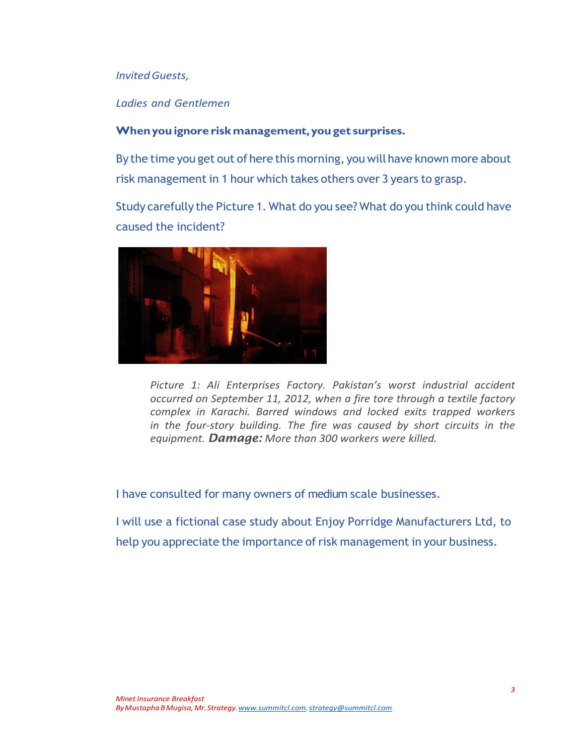#### *InvitedGuests,*

#### *Ladies and Gentlemen*

### **Whenyou ignore riskmanagement, youget surprises.**

By the time you get out of here this morning, you will have known more about risk management in 1 hour which takes others over 3 years to grasp.

Study carefully the Picture 1. What do you see? What do you think could have caused the incident?



*Picture 1: Ali Enterprises Factory. Pakistan's worst industrial accident occurred on September 11, 2012, when a fire tore through a textile factory complex in Karachi. Barred windows and locked exits trapped workers in the four-story building. The fire was caused by short circuits in the equipment. Damage: More than 300 workers were killed.*

I have consulted for many owners of medium scale businesses.

I will use a fictional case study about Enjoy Porridge Manufacturers Ltd, to help you appreciate the importance of risk management in your business.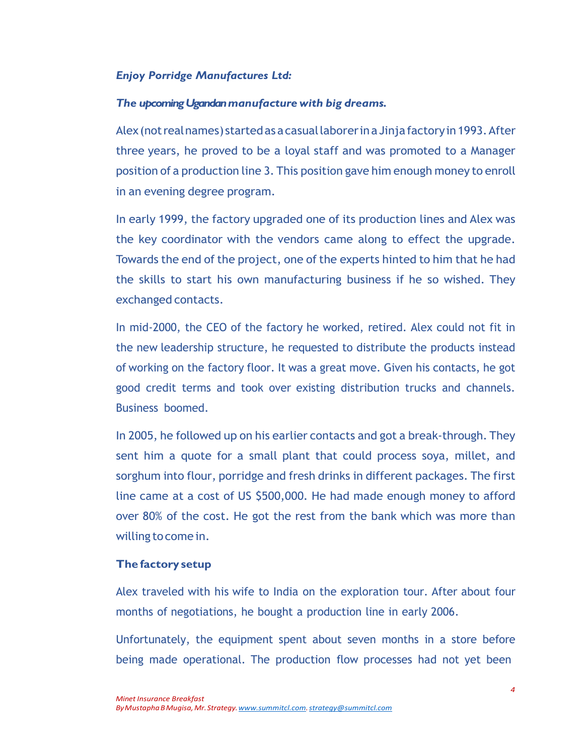## *Enjoy Porridge Manufactures Ltd:*

#### *The upcoming Ugandanmanufacture with big dreams.*

Alex(notrealnames) startedasacasuallaborerinaJinjafactoryin1993.After three years, he proved to be a loyal staff and was promoted to a Manager position of a production line 3. This position gave him enough money to enroll in an evening degree program.

In early 1999, the factory upgraded one of its production lines and Alex was the key coordinator with the vendors came along to effect the upgrade. Towards the end of the project, one of the experts hinted to him that he had the skills to start his own manufacturing business if he so wished. They exchanged contacts.

In mid-2000, the CEO of the factory he worked, retired. Alex could not fit in the new leadership structure, he requested to distribute the products instead of working on the factory floor. It was a great move. Given his contacts, he got good credit terms and took over existing distribution trucks and channels. Business boomed.

In 2005, he followed up on his earlier contacts and got a break-through. They sent him a quote for a small plant that could process soya, millet, and sorghum into flour, porridge and fresh drinks in different packages. The first line came at a cost of US \$500,000. He had made enough money to afford over 80% of the cost. He got the rest from the bank which was more than willing tocome in.

#### **The factory setup**

Alex traveled with his wife to India on the exploration tour. After about four months of negotiations, he bought a production line in early 2006.

Unfortunately, the equipment spent about seven months in a store before being made operational. The production flow processes had not yet been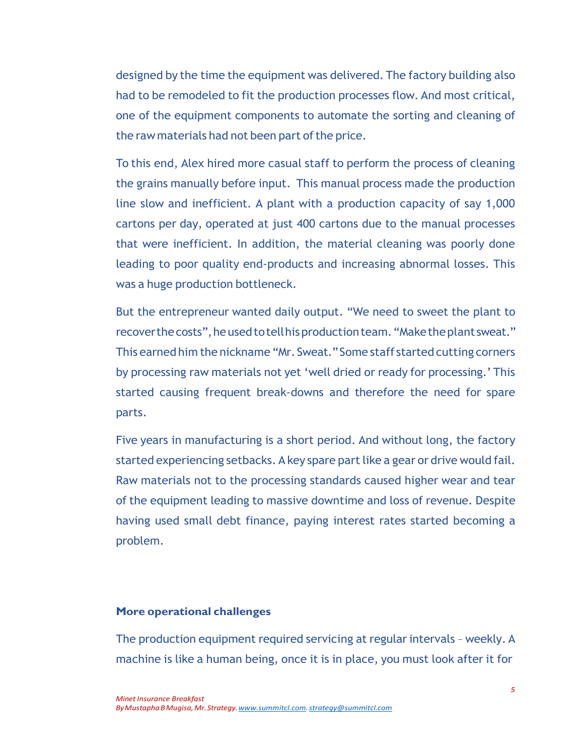designed by the time the equipment was delivered. The factory building also had to be remodeled to fit the production processes flow. And most critical, one of the equipment components to automate the sorting and cleaning of the raw materials had not been part of the price.

To this end, Alex hired more casual staff to perform the process of cleaning the grains manually before input. This manual process made the production line slow and inefficient. A plant with a production capacity of say 1,000 cartons per day, operated at just 400 cartons due to the manual processes that were inefficient. In addition, the material cleaning was poorly done leading to poor quality end-products and increasing abnormal losses. This was a huge production bottleneck.

But the entrepreneur wanted daily output. "We need to sweet the plant to recoverthecosts",heusedtotellhisproductionteam."Maketheplant sweat." This earned him the nickname "Mr. Sweat."Some staff started cutting corners by processing raw materials not yet 'well dried or ready for processing.' This started causing frequent break-downs and therefore the need for spare parts.

Five years in manufacturing is a short period. And without long, the factory started experiencing setbacks. A key spare part like a gear or drive would fail. Raw materials not to the processing standards caused higher wear and tear of the equipment leading to massive downtime and loss of revenue. Despite having used small debt finance, paying interest rates started becoming a problem.

#### **More operational challenges**

The production equipment required servicing at regular intervals - weekly. A machine is like a human being, once it is in place, you must look after it for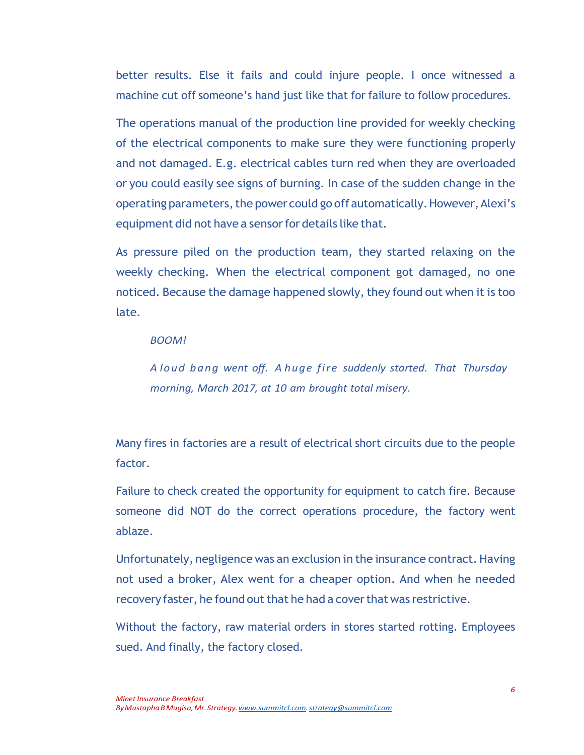better results. Else it fails and could injure people. I once witnessed a machine cut off someone's hand just like that for failure to follow procedures.

The operations manual of the production line provided for weekly checking of the electrical components to make sure they were functioning properly and not damaged. E.g. electrical cables turn red when they are overloaded or you could easily see signs of burning. In case of the sudden change in the operating parameters, the power could go off automatically. However, Alexi's equipment did not have a sensor for details like that.

As pressure piled on the production team, they started relaxing on the weekly checking. When the electrical component got damaged, no one noticed. Because the damage happened slowly, they found out when it is too late.

#### *BOOM!*

*A loud bang went off. A huge fire suddenly started. That Thursday morning, March 2017, at 10 am brought total misery.*

Many fires in factories are a result of electrical short circuits due to the people factor.

Failure to check created the opportunity for equipment to catch fire. Because someone did NOT do the correct operations procedure, the factory went ablaze.

Unfortunately, negligence was an exclusion in the insurance contract. Having not used a broker, Alex went for a cheaper option. And when he needed recovery faster, he found out that he had a cover that was restrictive.

Without the factory, raw material orders in stores started rotting. Employees sued. And finally, the factory closed.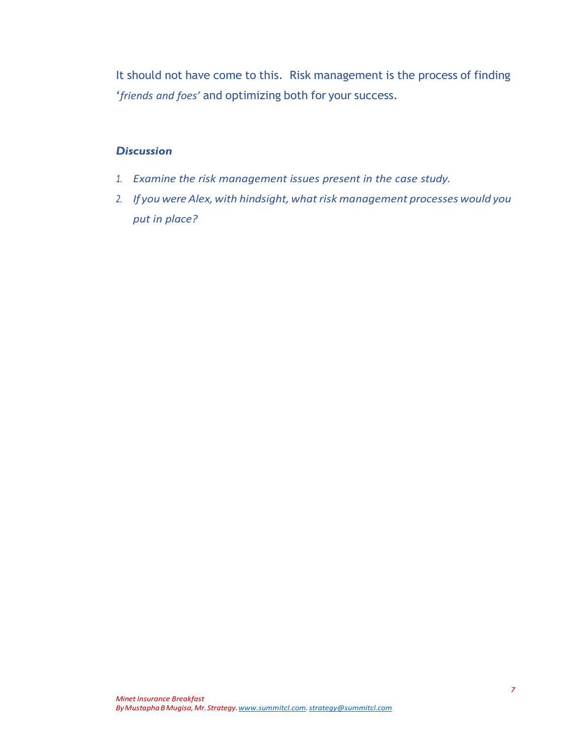It should not have come to this. Risk management is the process of finding '*friends and foes'* and optimizing both for your success.

## *Discussion*

- *1. Examine the risk management issues present in the case study.*
- 2. *If* you were Alex, with hindsight, what risk management processes would you *put in place?*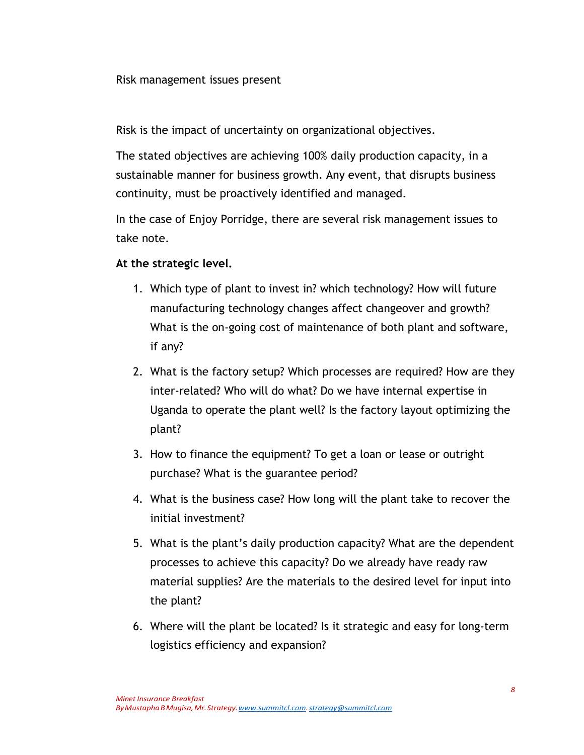Risk management issues present

Risk is the impact of uncertainty on organizational objectives.

The stated objectives are achieving 100% daily production capacity, in a sustainable manner for business growth. Any event, that disrupts business continuity, must be proactively identified and managed.

In the case of Enjoy Porridge, there are several risk management issues to take note.

# **At the strategic level.**

- 1. Which type of plant to invest in? which technology? How will future manufacturing technology changes affect changeover and growth? What is the on-going cost of maintenance of both plant and software, if any?
- 2. What is the factory setup? Which processes are required? How are they inter-related? Who will do what? Do we have internal expertise in Uganda to operate the plant well? Is the factory layout optimizing the plant?
- 3. How to finance the equipment? To get a loan or lease or outright purchase? What is the guarantee period?
- 4. What is the business case? How long will the plant take to recover the initial investment?
- 5. What is the plant's daily production capacity? What are the dependent processes to achieve this capacity? Do we already have ready raw material supplies? Are the materials to the desired level for input into the plant?
- 6. Where will the plant be located? Is it strategic and easy for long-term logistics efficiency and expansion?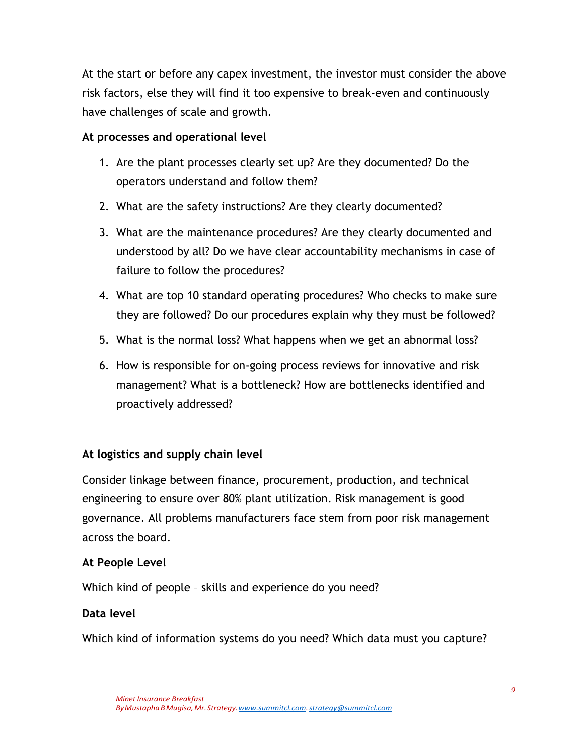At the start or before any capex investment, the investor must consider the above risk factors, else they will find it too expensive to break-even and continuously have challenges of scale and growth.

# **At processes and operational level**

- 1. Are the plant processes clearly set up? Are they documented? Do the operators understand and follow them?
- 2. What are the safety instructions? Are they clearly documented?
- 3. What are the maintenance procedures? Are they clearly documented and understood by all? Do we have clear accountability mechanisms in case of failure to follow the procedures?
- 4. What are top 10 standard operating procedures? Who checks to make sure they are followed? Do our procedures explain why they must be followed?
- 5. What is the normal loss? What happens when we get an abnormal loss?
- 6. How is responsible for on-going process reviews for innovative and risk management? What is a bottleneck? How are bottlenecks identified and proactively addressed?

## **At logistics and supply chain level**

Consider linkage between finance, procurement, production, and technical engineering to ensure over 80% plant utilization. Risk management is good governance. All problems manufacturers face stem from poor risk management across the board.

## **At People Level**

Which kind of people – skills and experience do you need?

## **Data level**

Which kind of information systems do you need? Which data must you capture?